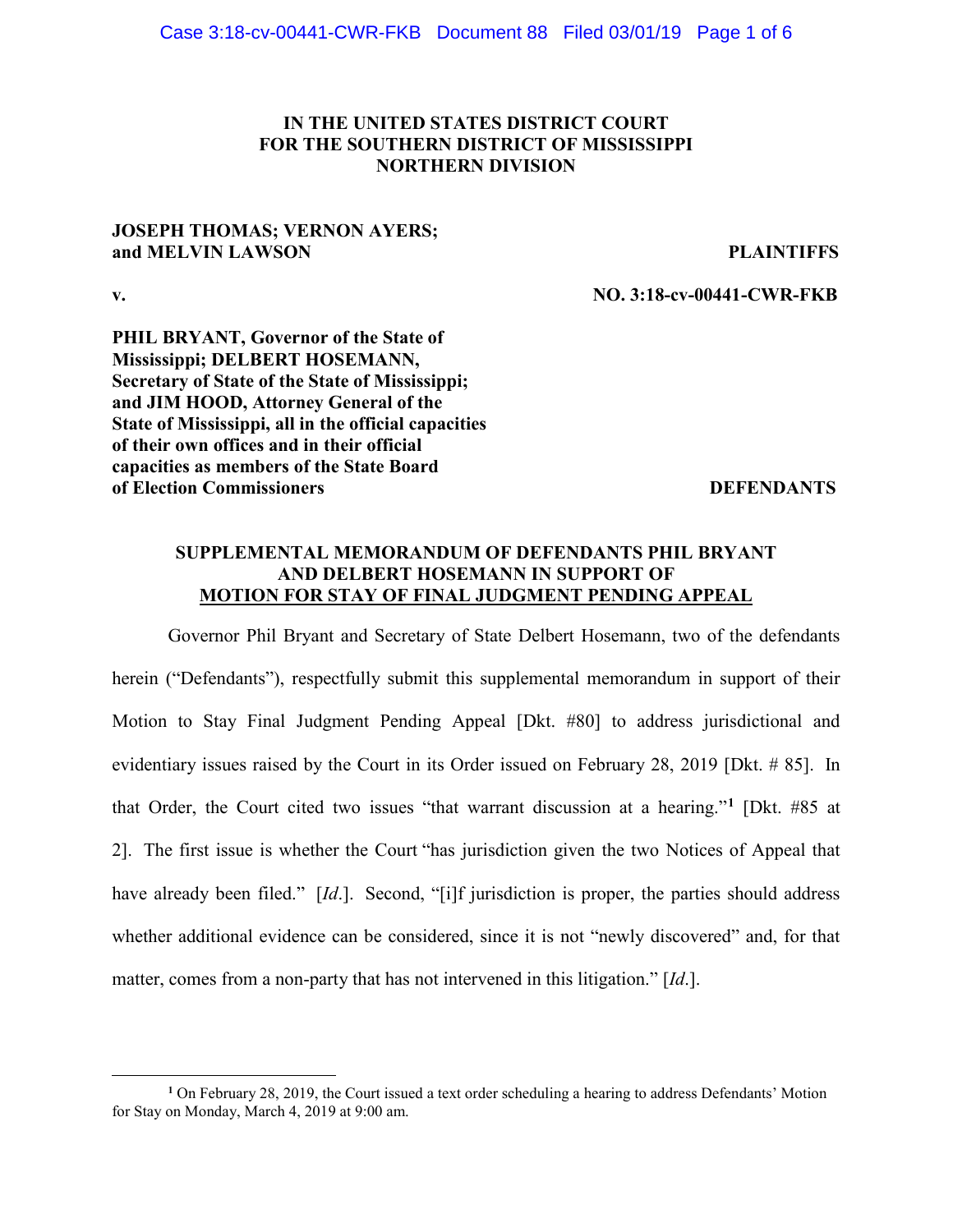## **IN THE UNITED STATES DISTRICT COURT FOR THE SOUTHERN DISTRICT OF MISSISSIPPI NORTHERN DIVISION**

## **JOSEPH THOMAS; VERNON AYERS; and MELVIN LAWSON PLAINTIFFS**

 $\overline{a}$ 

**v. NO. 3:18-cv-00441-CWR-FKB**

**PHIL BRYANT, Governor of the State of Mississippi; DELBERT HOSEMANN, Secretary of State of the State of Mississippi; and JIM HOOD, Attorney General of the State of Mississippi, all in the official capacities of their own offices and in their official capacities as members of the State Board of Election Commissioners DEFENDANTS** 

## **SUPPLEMENTAL MEMORANDUM OF DEFENDANTS PHIL BRYANT AND DELBERT HOSEMANN IN SUPPORT OF MOTION FOR STAY OF FINAL JUDGMENT PENDING APPEAL**

Governor Phil Bryant and Secretary of State Delbert Hosemann, two of the defendants herein ("Defendants"), respectfully submit this supplemental memorandum in support of their Motion to Stay Final Judgment Pending Appeal [Dkt. #80] to address jurisdictional and evidentiary issues raised by the Court in its Order issued on February 28, 2019 [Dkt. # 85]. In that Order, the Court cited two issues "that warrant discussion at a hearing."**[1](#page-0-0)** [Dkt. #85 at 2]. The first issue is whether the Court "has jurisdiction given the two Notices of Appeal that have already been filed." [*Id*.]. Second, "[i]f jurisdiction is proper, the parties should address whether additional evidence can be considered, since it is not "newly discovered" and, for that matter, comes from a non-party that has not intervened in this litigation." [*Id*.].

<span id="page-0-0"></span>**<sup>1</sup>** On February 28, 2019, the Court issued a text order scheduling a hearing to address Defendants' Motion for Stay on Monday, March 4, 2019 at 9:00 am.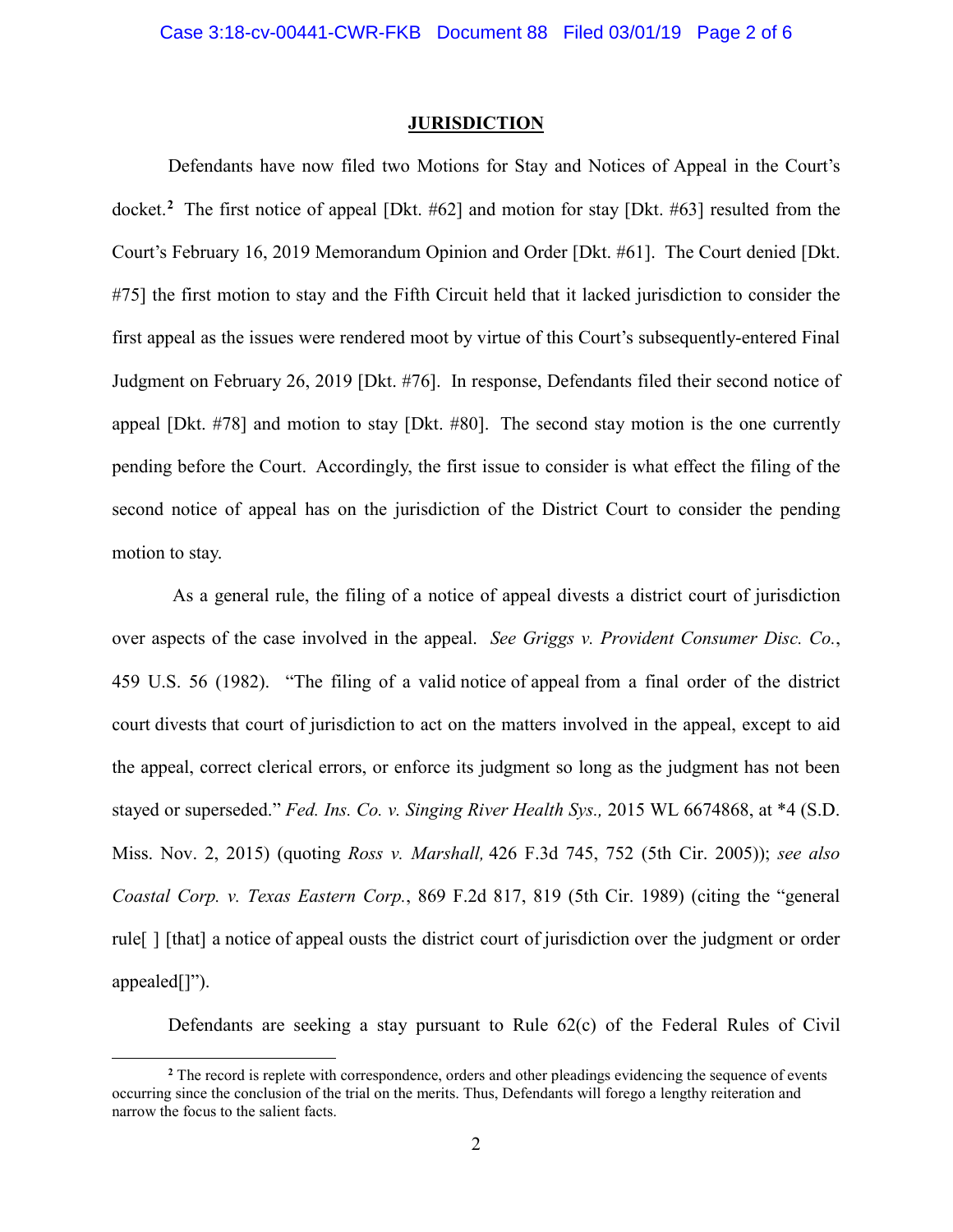### **JURISDICTION**

Defendants have now filed two Motions for Stay and Notices of Appeal in the Court's docket. **[2](#page-1-0)** The first notice of appeal [Dkt. #62] and motion for stay [Dkt. #63] resulted from the Court's February 16, 2019 Memorandum Opinion and Order [Dkt. #61]. The Court denied [Dkt. #75] the first motion to stay and the Fifth Circuit held that it lacked jurisdiction to consider the first appeal as the issues were rendered moot by virtue of this Court's subsequently-entered Final Judgment on February 26, 2019 [Dkt. #76]. In response, Defendants filed their second notice of appeal [Dkt. #78] and motion to stay [Dkt. #80]. The second stay motion is the one currently pending before the Court. Accordingly, the first issue to consider is what effect the filing of the second notice of appeal has on the jurisdiction of the District Court to consider the pending motion to stay.

As a general rule, the filing of a notice of appeal divests a district court of jurisdiction over aspects of the case involved in the appeal. *See Griggs v. Provident Consumer Disc. Co.*, 459 U.S. 56 (1982). "The filing of a valid notice of appeal from a final order of the district court divests that court of jurisdiction to act on the matters involved in the appeal, except to aid the appeal, correct clerical errors, or enforce its judgment so long as the judgment has not been stayed or superseded." *Fed. Ins. Co. v. Singing River Health Sys.,* 2015 WL 6674868, at \*4 (S.D. Miss. Nov. 2, 2015) (quoting *Ross v. Marshall,* 426 F.3d 745, 752 (5th Cir. 2005)); *see also Coastal Corp. v. Texas Eastern Corp.*, 869 F.2d 817, 819 (5th Cir. 1989) (citing the "general rule[ ] [that] a notice of appeal ousts the district court of jurisdiction over the judgment or order appealed[]").

Defendants are seeking a stay pursuant to Rule 62(c) of the Federal Rules of Civil

 $\overline{a}$ 

<span id="page-1-0"></span>**<sup>2</sup>** The record is replete with correspondence, orders and other pleadings evidencing the sequence of events occurring since the conclusion of the trial on the merits. Thus, Defendants will forego a lengthy reiteration and narrow the focus to the salient facts.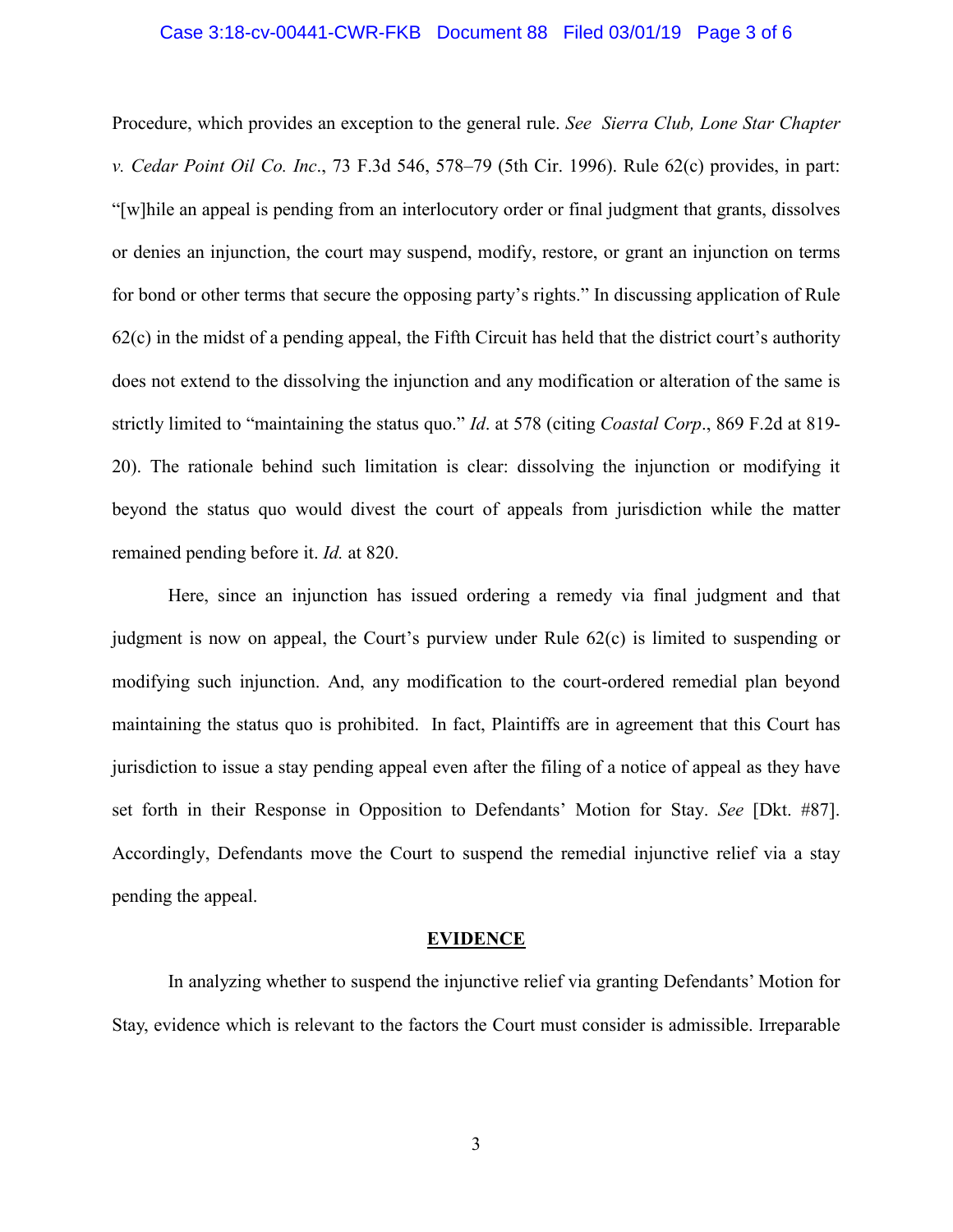# Case 3:18-cv-00441-CWR-FKB Document 88 Filed 03/01/19 Page 3 of 6

Procedure, which provides an exception to the general rule. *See Sierra Club, Lone Star Chapter v. Cedar Point Oil Co. Inc*., 73 F.3d 546, 578–79 (5th Cir. 1996). Rule 62(c) provides, in part: "[w]hile an appeal is pending from an interlocutory order or final judgment that grants, dissolves or denies an injunction, the court may suspend, modify, restore, or grant an injunction on terms for bond or other terms that secure the opposing party's rights." In discussing application of Rule 62(c) in the midst of a pending appeal, the Fifth Circuit has held that the district court's authority does not extend to the dissolving the injunction and any modification or alteration of the same is strictly limited to "maintaining the status quo." *Id*. at 578 (citing *Coastal Corp*., 869 F.2d at 819- 20). The rationale behind such limitation is clear: dissolving the injunction or modifying it beyond the status quo would divest the court of appeals from jurisdiction while the matter remained pending before it. *Id.* at 820.

Here, since an injunction has issued ordering a remedy via final judgment and that judgment is now on appeal, the Court's purview under Rule 62(c) is limited to suspending or modifying such injunction. And, any modification to the court-ordered remedial plan beyond maintaining the status quo is prohibited. In fact, Plaintiffs are in agreement that this Court has jurisdiction to issue a stay pending appeal even after the filing of a notice of appeal as they have set forth in their Response in Opposition to Defendants' Motion for Stay. *See* [Dkt. #87]. Accordingly, Defendants move the Court to suspend the remedial injunctive relief via a stay pending the appeal.

#### **EVIDENCE**

In analyzing whether to suspend the injunctive relief via granting Defendants' Motion for Stay, evidence which is relevant to the factors the Court must consider is admissible. Irreparable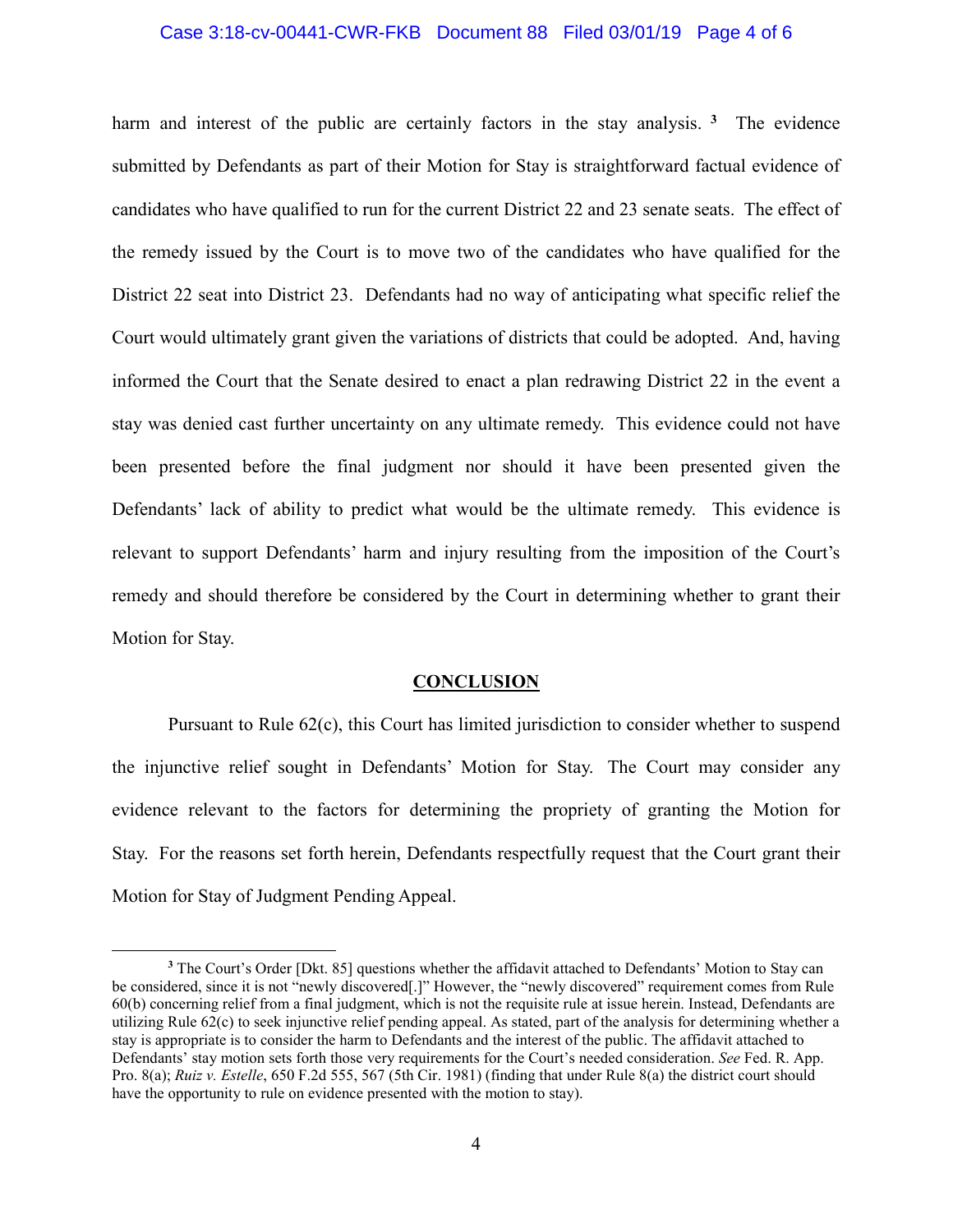# Case 3:18-cv-00441-CWR-FKB Document 88 Filed 03/01/19 Page 4 of 6

harm and interest of the public are certainly factors in the stay analysis. **[3](#page-3-0)** The evidence submitted by Defendants as part of their Motion for Stay is straightforward factual evidence of candidates who have qualified to run for the current District 22 and 23 senate seats. The effect of the remedy issued by the Court is to move two of the candidates who have qualified for the District 22 seat into District 23. Defendants had no way of anticipating what specific relief the Court would ultimately grant given the variations of districts that could be adopted. And, having informed the Court that the Senate desired to enact a plan redrawing District 22 in the event a stay was denied cast further uncertainty on any ultimate remedy. This evidence could not have been presented before the final judgment nor should it have been presented given the Defendants' lack of ability to predict what would be the ultimate remedy. This evidence is relevant to support Defendants' harm and injury resulting from the imposition of the Court's remedy and should therefore be considered by the Court in determining whether to grant their Motion for Stay.

#### **CONCLUSION**

Pursuant to Rule 62(c), this Court has limited jurisdiction to consider whether to suspend the injunctive relief sought in Defendants' Motion for Stay. The Court may consider any evidence relevant to the factors for determining the propriety of granting the Motion for Stay. For the reasons set forth herein, Defendants respectfully request that the Court grant their Motion for Stay of Judgment Pending Appeal.

 $\overline{a}$ 

<span id="page-3-0"></span><sup>&</sup>lt;sup>3</sup> The Court's Order [Dkt. 85] questions whether the affidavit attached to Defendants' Motion to Stay can be considered, since it is not "newly discovered[.]" However, the "newly discovered" requirement comes from Rule 60(b) concerning relief from a final judgment, which is not the requisite rule at issue herein. Instead, Defendants are utilizing Rule 62(c) to seek injunctive relief pending appeal. As stated, part of the analysis for determining whether a stay is appropriate is to consider the harm to Defendants and the interest of the public. The affidavit attached to Defendants' stay motion sets forth those very requirements for the Court's needed consideration. *See* Fed. R. App. Pro. 8(a); *Ruiz v. Estelle*, 650 F.2d 555, 567 (5th Cir. 1981) (finding that under Rule 8(a) the district court should have the opportunity to rule on evidence presented with the motion to stay).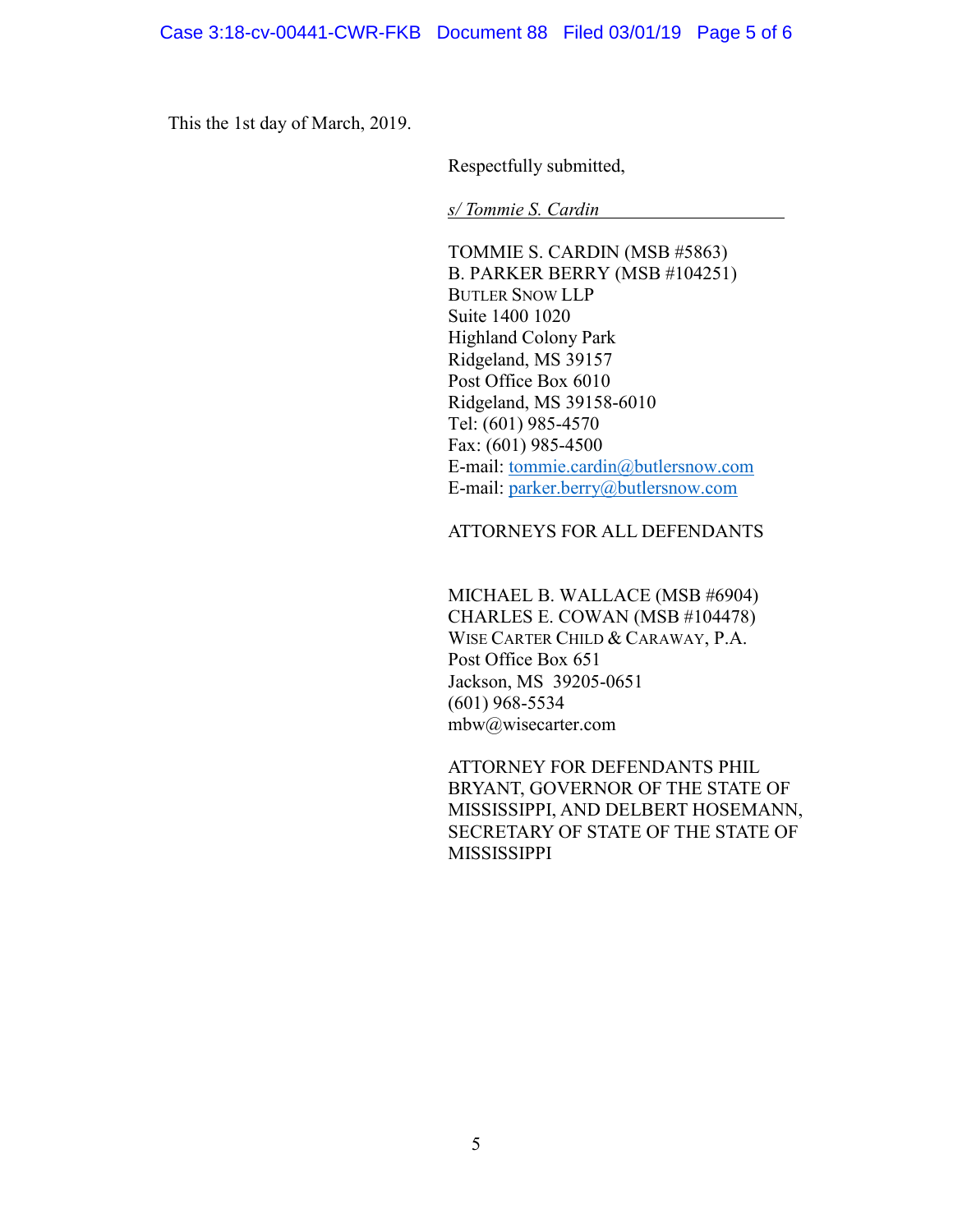This the 1st day of March, 2019.

Respectfully submitted,

*s/ Tommie S. Cardin*

TOMMIE S. CARDIN (MSB #5863) B. PARKER BERRY (MSB #104251) BUTLER SNOW LLP Suite 1400 1020 Highland Colony Park Ridgeland, MS 39157 Post Office Box 6010 Ridgeland, MS 39158-6010 Tel: (601) 985-4570 Fax: (601) 985-4500 E-mail: [tommie.cardin@butlersnow.com](mailto:tommie.cardin@butlersnow.com) E-mail: [parker.berry@butlersnow.com](mailto:parker.berry@butlersnow.com)

## ATTORNEYS FOR ALL DEFENDANTS

MICHAEL B. WALLACE (MSB #6904) CHARLES E. COWAN (MSB #104478) WISE CARTER CHILD & CARAWAY, P.A. Post Office Box 651 Jackson, MS 39205-0651 (601) 968-5534 [mbw@wisecarter.com](mailto:mbw@wisecarter.com)

ATTORNEY FOR DEFENDANTS PHIL BRYANT, GOVERNOR OF THE STATE OF MISSISSIPPI, AND DELBERT HOSEMANN, SECRETARY OF STATE OF THE STATE OF MISSISSIPPI